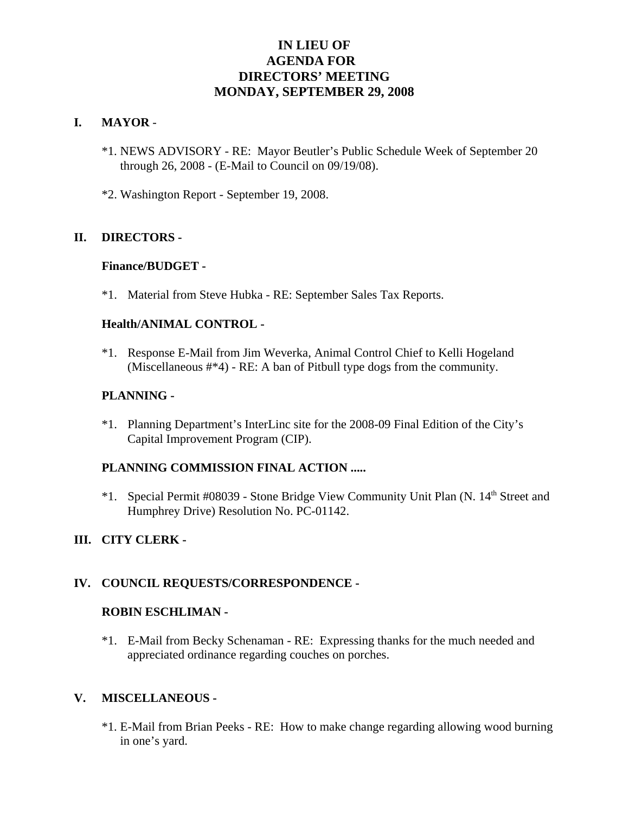# **IN LIEU OF AGENDA FOR DIRECTORS' MEETING MONDAY, SEPTEMBER 29, 2008**

#### **I. MAYOR** -

- \*1. NEWS ADVISORY RE: Mayor Beutler's Public Schedule Week of September 20 through 26, 2008 - (E-Mail to Council on 09/19/08).
- \*2. Washington Report September 19, 2008.

# **II. DIRECTORS -**

#### **Finance/BUDGET -**

\*1. Material from Steve Hubka - RE: September Sales Tax Reports.

# **Health/ANIMAL CONTROL -**

\*1. Response E-Mail from Jim Weverka, Animal Control Chief to Kelli Hogeland (Miscellaneous #\*4) - RE: A ban of Pitbull type dogs from the community.

# **PLANNING -**

\*1. Planning Department's InterLinc site for the 2008-09 Final Edition of the City's Capital Improvement Program (CIP).

# **PLANNING COMMISSION FINAL ACTION .....**

\*1. Special Permit #08039 - Stone Bridge View Community Unit Plan (N. 14<sup>th</sup> Street and Humphrey Drive) Resolution No. PC-01142.

# **III. CITY CLERK -**

# **IV. COUNCIL REQUESTS/CORRESPONDENCE -**

#### **ROBIN ESCHLIMAN -**

\*1. E-Mail from Becky Schenaman - RE: Expressing thanks for the much needed and appreciated ordinance regarding couches on porches.

#### **V. MISCELLANEOUS -**

\*1. E-Mail from Brian Peeks - RE: How to make change regarding allowing wood burning in one's yard.